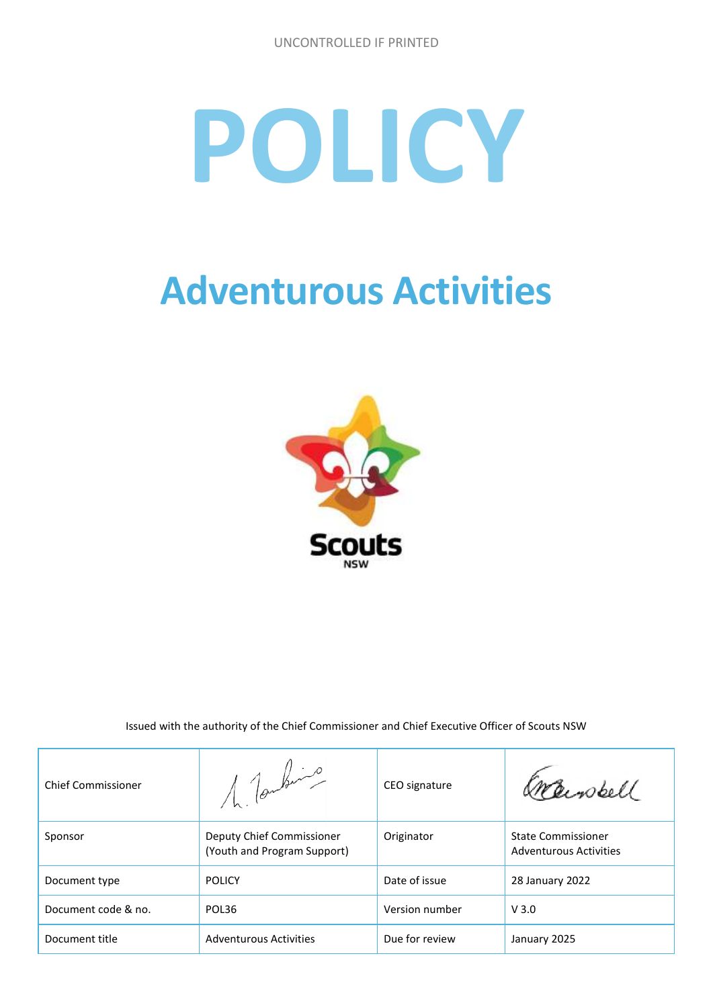# **POLICY**

## **Adventurous Activities**



Issued with the authority of the Chief Commissioner and Chief Executive Officer of Scouts NSW

| <b>Chief Commissioner</b> | 1 Toutevil                                               | CEO signature  | Crawbell                                                   |
|---------------------------|----------------------------------------------------------|----------------|------------------------------------------------------------|
| Sponsor                   | Deputy Chief Commissioner<br>(Youth and Program Support) | Originator     | <b>State Commissioner</b><br><b>Adventurous Activities</b> |
| Document type             | <b>POLICY</b>                                            | Date of issue  | 28 January 2022                                            |
| Document code & no.       | POL36                                                    | Version number | V3.0                                                       |
| Document title            | <b>Adventurous Activities</b>                            | Due for review | January 2025                                               |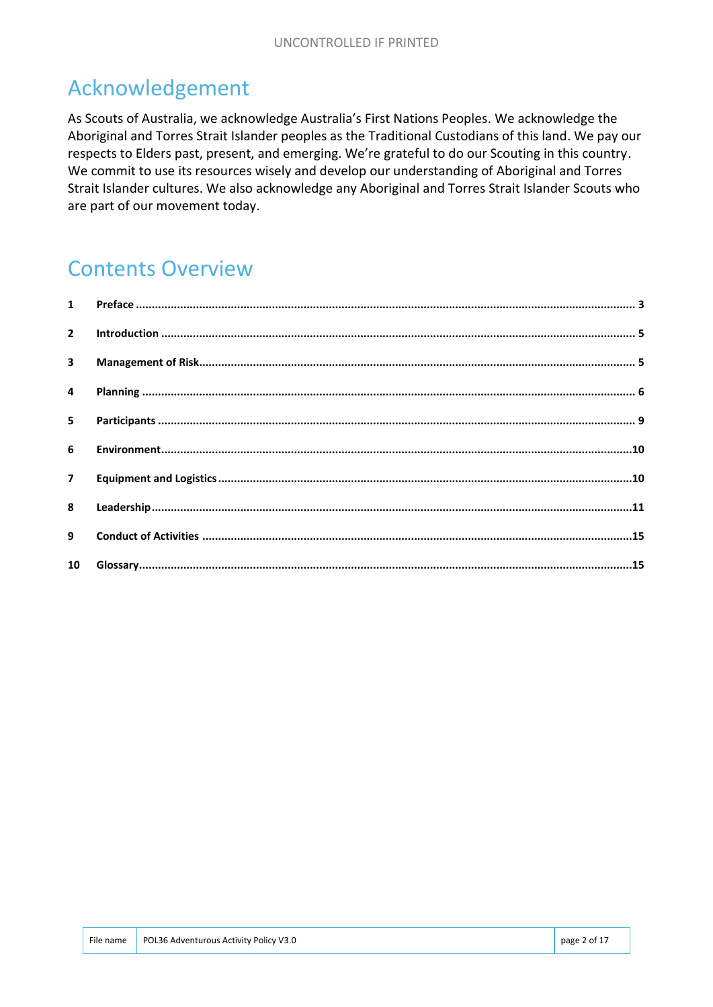#### Acknowledgement

As Scouts of Australia, we acknowledge Australia's First Nations Peoples. We acknowledge the Aboriginal and Torres Strait Islander peoples as the Traditional Custodians of this land. We pay our respects to Elders past, present, and emerging. We're grateful to do our Scouting in this country. We commit to use its resources wisely and develop our understanding of Aboriginal and Torres Strait Islander cultures. We also acknowledge any Aboriginal and Torres Strait Islander Scouts who are part of our movement today.

#### Contents Overview

| 5 <sup>7</sup> |  |
|----------------|--|
|                |  |
| 7 <sup>7</sup> |  |
|                |  |
| 9              |  |
|                |  |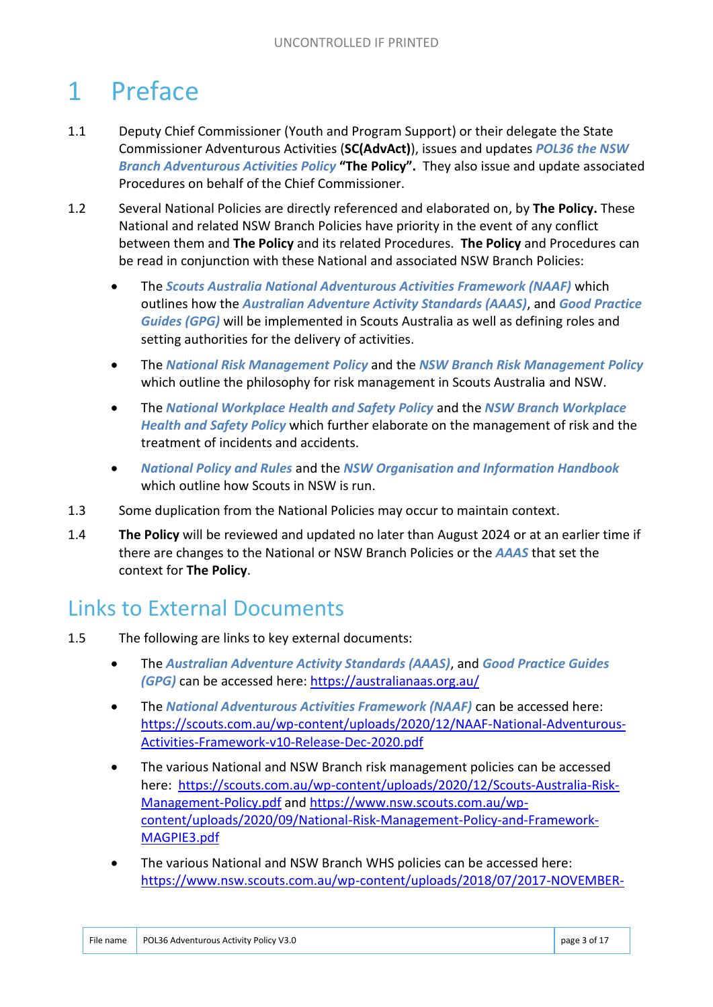## 1 Preface

- 1.1 Deputy Chief Commissioner (Youth and Program Support) or their delegate the State Commissioner Adventurous Activities (**SC(AdvAct)**), issues and updates *POL36 the NSW Branch Adventurous Activities Policy* **"The Policy".** They also issue and update associated Procedures on behalf of the Chief Commissioner.
- 1.2 Several National Policies are directly referenced and elaborated on, by **The Policy.** These National and related NSW Branch Policies have priority in the event of any conflict between them and **The Policy** and its related Procedures. **The Policy** and Procedures can be read in conjunction with these National and associated NSW Branch Policies:
	- The *Scouts Australia National Adventurous Activities Framework (NAAF)* which outlines how the *Australian Adventure Activity Standards (AAAS)*, and *Good Practice Guides (GPG)* will be implemented in Scouts Australia as well as defining roles and setting authorities for the delivery of activities.
	- The *National Risk Management Policy* and the *NSW Branch Risk Management Policy* which outline the philosophy for risk management in Scouts Australia and NSW.
	- The *National Workplace Health and Safety Policy* and the *NSW Branch Workplace Health and Safety Policy* which further elaborate on the management of risk and the treatment of incidents and accidents.
	- *National Policy and Rules* and the *NSW Organisation and Information Handbook*  which outline how Scouts in NSW is run.
- 1.3 Some duplication from the National Policies may occur to maintain context.
- 1.4 **The Policy** will be reviewed and updated no later than August 2024 or at an earlier time if there are changes to the National or NSW Branch Policies or the *AAAS* that set the context for **The Policy**.

#### Links to External Documents

- 1.5 The following are links to key external documents:
	- The *Australian Adventure Activity Standards (AAAS)*, and *Good Practice Guides (GPG)* can be accessed here: https://australianaas.org.au/
	- The *National Adventurous Activities Framework (NAAF)* can be accessed here: https://scouts.com.au/wp-content/uploads/2020/12/NAAF-National-Adventurous-Activities-Framework-v10-Release-Dec-2020.pdf
	- The various National and NSW Branch risk management policies can be accessed here: https://scouts.com.au/wp-content/uploads/2020/12/Scouts-Australia-Risk-Management-Policy.pdf and https://www.nsw.scouts.com.au/wpcontent/uploads/2020/09/National-Risk-Management-Policy-and-Framework-MAGPIE3.pdf
	- The various National and NSW Branch WHS policies can be accessed here: https://www.nsw.scouts.com.au/wp-content/uploads/2018/07/2017-NOVEMBER-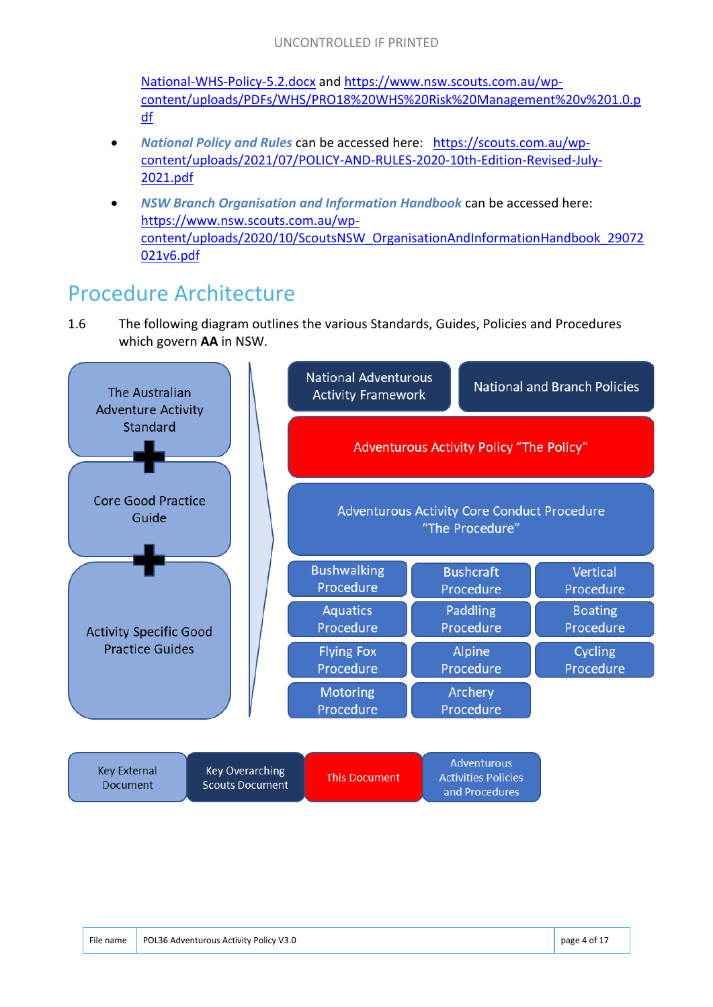National-WHS-Policy-5.2.docx and https://www.nsw.scouts.com.au/wpcontent/uploads/PDFs/WHS/PRO18%20WHS%20Risk%20Management%20v%201.0.p df

- *National Policy and Rules* can be accessed here: https://scouts.com.au/wpcontent/uploads/2021/07/POLICY-AND-RULES-2020-10th-Edition-Revised-July-2021.pdf
- *NSW Branch Organisation and Information Handbook* can be accessed here: https://www.nsw.scouts.com.au/wpcontent/uploads/2020/10/ScoutsNSW\_OrganisationAndInformationHandbook\_29072 021v6.pdf

#### Procedure Architecture

1.6 The following diagram outlines the various Standards, Guides, Policies and Procedures which govern **AA** in NSW.

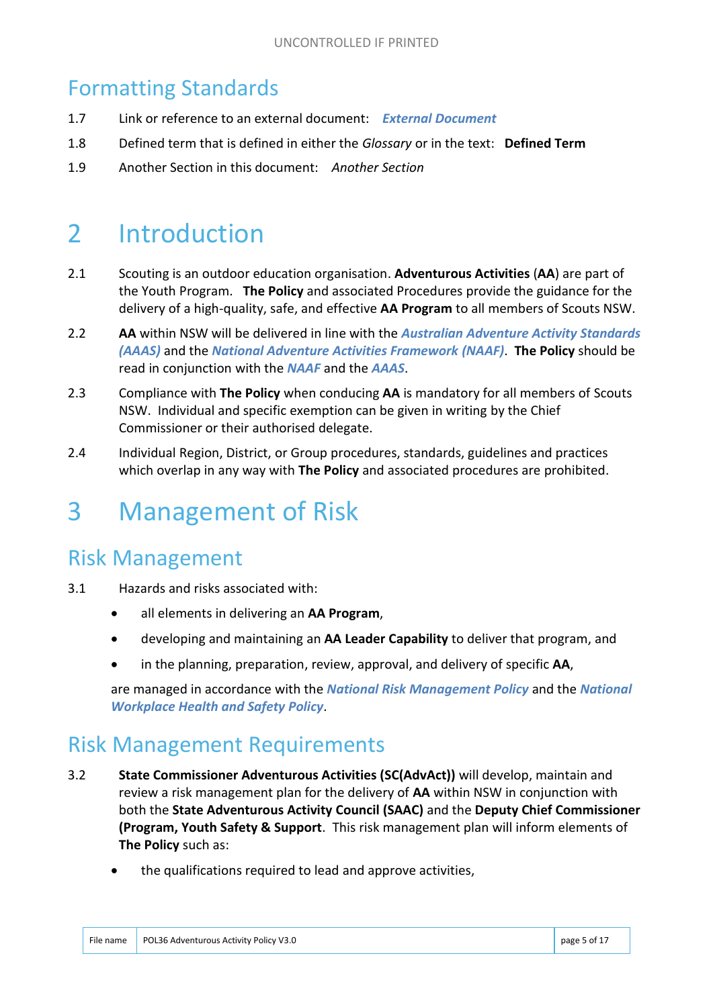#### Formatting Standards

- 1.7 Link or reference to an external document: *External Document*
- 1.8 Defined term that is defined in either the *Glossary* or in the text: **Defined Term**
- 1.9 Another Section in this document: *Another Section*

## 2 Introduction

- 2.1 Scouting is an outdoor education organisation. **Adventurous Activities** (**AA**) are part of the Youth Program. **The Policy** and associated Procedures provide the guidance for the delivery of a high-quality, safe, and effective **AA Program** to all members of Scouts NSW.
- 2.2 **AA** within NSW will be delivered in line with the *Australian Adventure Activity Standards (AAAS)* and the *National Adventure Activities Framework (NAAF)*. **The Policy** should be read in conjunction with the *NAAF* and the *AAAS*.
- 2.3 Compliance with **The Policy** when conducing **AA** is mandatory for all members of Scouts NSW. Individual and specific exemption can be given in writing by the Chief Commissioner or their authorised delegate.
- 2.4 Individual Region, District, or Group procedures, standards, guidelines and practices which overlap in any way with **The Policy** and associated procedures are prohibited.

## 3 Management of Risk

#### Risk Management

- 3.1 Hazards and risks associated with:
	- all elements in delivering an **AA Program**,
	- developing and maintaining an **AA Leader Capability** to deliver that program, and
	- in the planning, preparation, review, approval, and delivery of specific **AA**,

are managed in accordance with the *National Risk Management Policy* and the *National Workplace Health and Safety Policy*.

#### Risk Management Requirements

- 3.2 **State Commissioner Adventurous Activities (SC(AdvAct))** will develop, maintain and review a risk management plan for the delivery of **AA** within NSW in conjunction with both the **State Adventurous Activity Council (SAAC)** and the **Deputy Chief Commissioner (Program, Youth Safety & Support**. This risk management plan will inform elements of **The Policy** such as:
	- the qualifications required to lead and approve activities,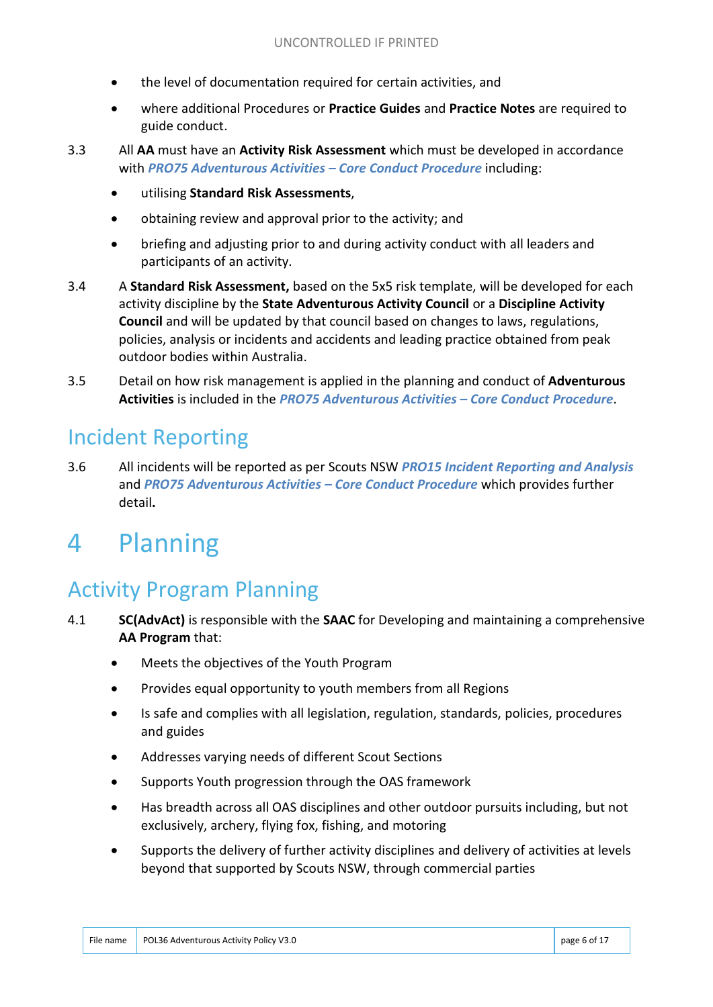- the level of documentation required for certain activities, and
- where additional Procedures or **Practice Guides** and **Practice Notes** are required to guide conduct.
- 3.3 All **AA** must have an **Activity Risk Assessment** which must be developed in accordance with *PRO75 Adventurous Activities – Core Conduct Procedure* including:
	- utilising **Standard Risk Assessments**,
	- obtaining review and approval prior to the activity; and
	- briefing and adjusting prior to and during activity conduct with all leaders and participants of an activity.
- 3.4 A **Standard Risk Assessment,** based on the 5x5 risk template, will be developed for each activity discipline by the **State Adventurous Activity Council** or a **Discipline Activity Council** and will be updated by that council based on changes to laws, regulations, policies, analysis or incidents and accidents and leading practice obtained from peak outdoor bodies within Australia.
- 3.5 Detail on how risk management is applied in the planning and conduct of **Adventurous Activities** is included in the *PRO75 Adventurous Activities – Core Conduct Procedure*.

#### Incident Reporting

3.6 All incidents will be reported as per Scouts NSW *PRO15 Incident Reporting and Analysis*  and *PRO75 Adventurous Activities – Core Conduct Procedure* which provides further detail**.**

## 4 Planning

#### Activity Program Planning

- 4.1 **SC(AdvAct)** is responsible with the **SAAC** for Developing and maintaining a comprehensive **AA Program** that:
	- Meets the objectives of the Youth Program
	- Provides equal opportunity to youth members from all Regions
	- Is safe and complies with all legislation, regulation, standards, policies, procedures and guides
	- Addresses varying needs of different Scout Sections
	- Supports Youth progression through the OAS framework
	- Has breadth across all OAS disciplines and other outdoor pursuits including, but not exclusively, archery, flying fox, fishing, and motoring
	- Supports the delivery of further activity disciplines and delivery of activities at levels beyond that supported by Scouts NSW, through commercial parties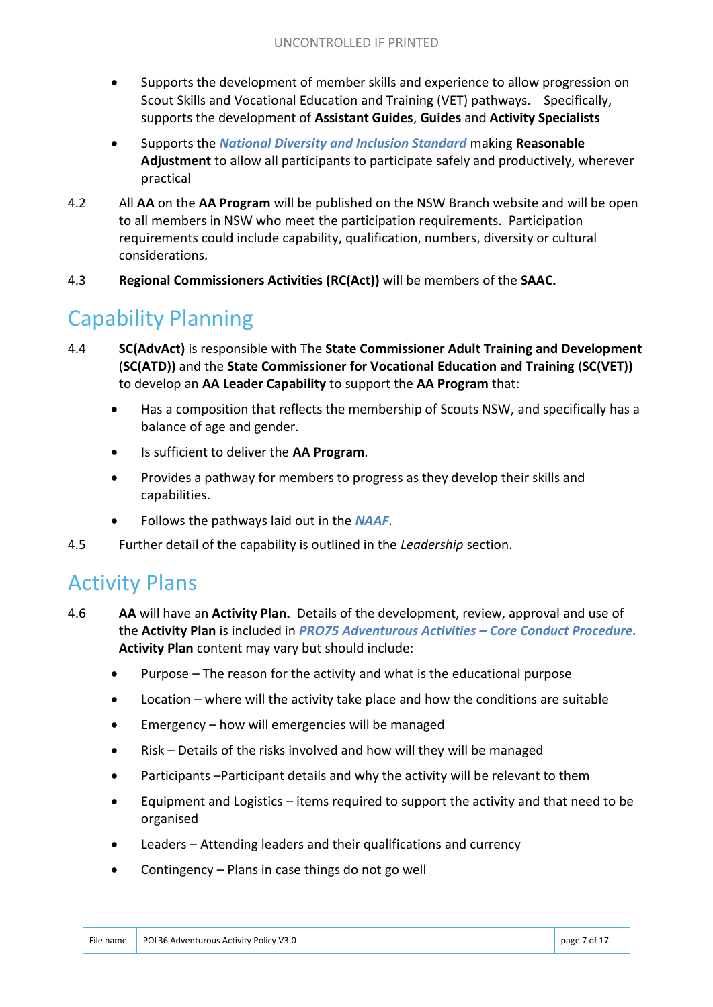- Supports the development of member skills and experience to allow progression on Scout Skills and Vocational Education and Training (VET) pathways. Specifically, supports the development of **Assistant Guides**, **Guides** and **Activity Specialists**
- Supports the *National Diversity and Inclusion Standard* making **Reasonable Adjustment** to allow all participants to participate safely and productively, wherever practical
- 4.2 All **AA** on the **AA Program** will be published on the NSW Branch website and will be open to all members in NSW who meet the participation requirements. Participation requirements could include capability, qualification, numbers, diversity or cultural considerations.
- 4.3 **Regional Commissioners Activities (RC(Act))** will be members of the **SAAC.**

#### Capability Planning

- 4.4 **SC(AdvAct)** is responsible with The **State Commissioner Adult Training and Development** (**SC(ATD))** and the **State Commissioner for Vocational Education and Training** (**SC(VET))** to develop an **AA Leader Capability** to support the **AA Program** that:
	- Has a composition that reflects the membership of Scouts NSW, and specifically has a balance of age and gender.
	- Is sufficient to deliver the **AA Program**.
	- Provides a pathway for members to progress as they develop their skills and capabilities.
	- Follows the pathways laid out in the *NAAF*.
- 4.5 Further detail of the capability is outlined in the *Leadership* section.

#### Activity Plans

- 4.6 **AA** will have an **Activity Plan.** Details of the development, review, approval and use of the **Activity Plan** is included in *PRO75 Adventurous Activities – Core Conduct Procedure.*  **Activity Plan** content may vary but should include:
	- Purpose The reason for the activity and what is the educational purpose
	- Location where will the activity take place and how the conditions are suitable
	- Emergency how will emergencies will be managed
	- Risk Details of the risks involved and how will they will be managed
	- Participants –Participant details and why the activity will be relevant to them
	- Equipment and Logistics items required to support the activity and that need to be organised
	- Leaders Attending leaders and their qualifications and currency
	- Contingency Plans in case things do not go well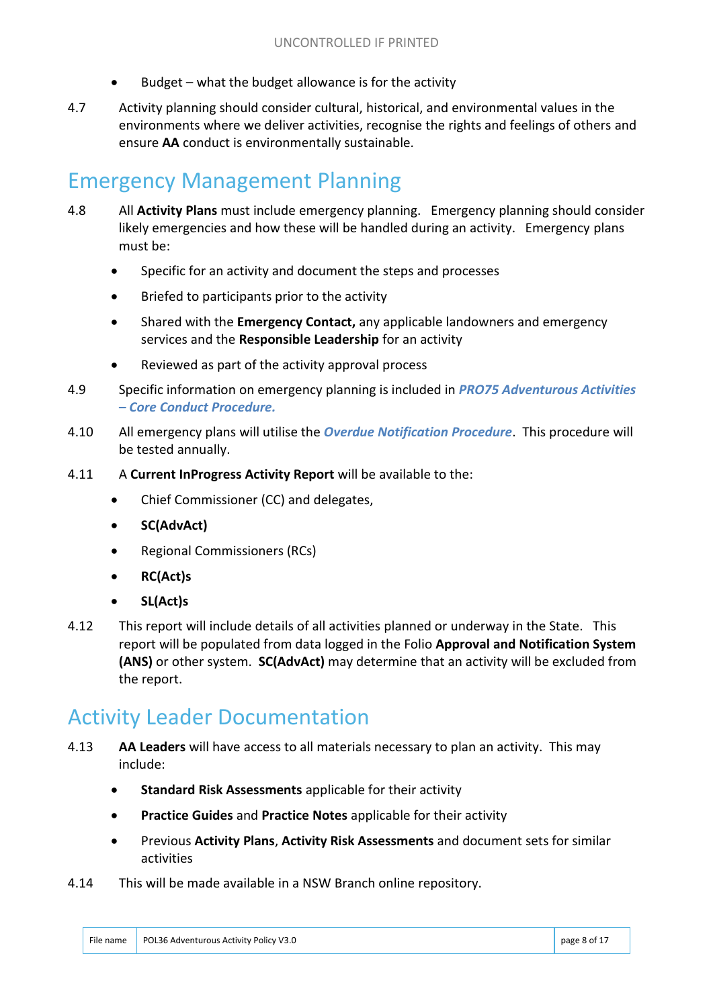- Budget what the budget allowance is for the activity
- 4.7 Activity planning should consider cultural, historical, and environmental values in the environments where we deliver activities, recognise the rights and feelings of others and ensure **AA** conduct is environmentally sustainable.

#### Emergency Management Planning

- 4.8 All **Activity Plans** must include emergency planning. Emergency planning should consider likely emergencies and how these will be handled during an activity. Emergency plans must be:
	- Specific for an activity and document the steps and processes
	- Briefed to participants prior to the activity
	- Shared with the **Emergency Contact,** any applicable landowners and emergency services and the **Responsible Leadership** for an activity
	- Reviewed as part of the activity approval process
- 4.9 Specific information on emergency planning is included in *PRO75 Adventurous Activities – Core Conduct Procedure.*
- 4.10 All emergency plans will utilise the *Overdue Notification Procedure*. This procedure will be tested annually.
- 4.11 A **Current InProgress Activity Report** will be available to the:
	- Chief Commissioner (CC) and delegates,
	- **SC(AdvAct)**
	- Regional Commissioners (RCs)
	- **RC(Act)s**
	- **SL(Act)s**
- 4.12 This report will include details of all activities planned or underway in the State. This report will be populated from data logged in the Folio **Approval and Notification System (ANS)** or other system. **SC(AdvAct)** may determine that an activity will be excluded from the report.

#### Activity Leader Documentation

- 4.13 **AA Leaders** will have access to all materials necessary to plan an activity. This may include:
	- **Standard Risk Assessments** applicable for their activity
	- **Practice Guides** and **Practice Notes** applicable for their activity
	- Previous **Activity Plans**, **Activity Risk Assessments** and document sets for similar activities
- 4.14 This will be made available in a NSW Branch online repository.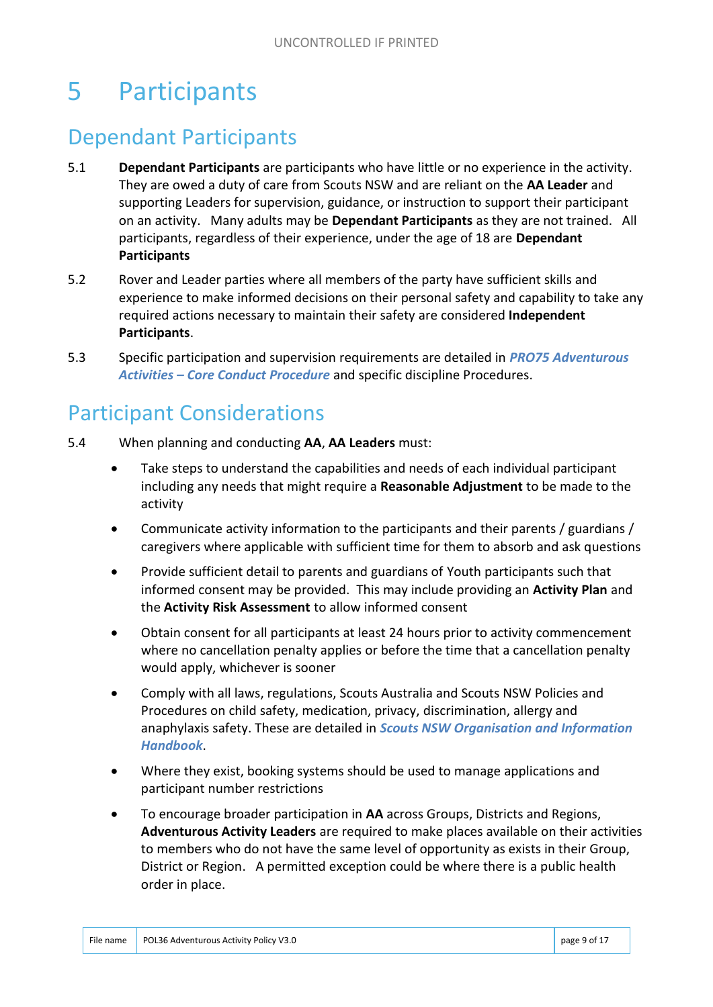## 5 Participants

#### Dependant Participants

- 5.1 **Dependant Participants** are participants who have little or no experience in the activity. They are owed a duty of care from Scouts NSW and are reliant on the **AA Leader** and supporting Leaders for supervision, guidance, or instruction to support their participant on an activity. Many adults may be **Dependant Participants** as they are not trained. All participants, regardless of their experience, under the age of 18 are **Dependant Participants**
- 5.2 Rover and Leader parties where all members of the party have sufficient skills and experience to make informed decisions on their personal safety and capability to take any required actions necessary to maintain their safety are considered **Independent Participants**.
- 5.3 Specific participation and supervision requirements are detailed in *PRO75 Adventurous Activities – Core Conduct Procedure* and specific discipline Procedures.

#### Participant Considerations

- 5.4 When planning and conducting **AA**, **AA Leaders** must:
	- Take steps to understand the capabilities and needs of each individual participant including any needs that might require a **Reasonable Adjustment** to be made to the activity
	- Communicate activity information to the participants and their parents / guardians / caregivers where applicable with sufficient time for them to absorb and ask questions
	- Provide sufficient detail to parents and guardians of Youth participants such that informed consent may be provided. This may include providing an **Activity Plan** and the **Activity Risk Assessment** to allow informed consent
	- Obtain consent for all participants at least 24 hours prior to activity commencement where no cancellation penalty applies or before the time that a cancellation penalty would apply, whichever is sooner
	- Comply with all laws, regulations, Scouts Australia and Scouts NSW Policies and Procedures on child safety, medication, privacy, discrimination, allergy and anaphylaxis safety. These are detailed in *Scouts NSW Organisation and Information Handbook*.
	- Where they exist, booking systems should be used to manage applications and participant number restrictions
	- To encourage broader participation in **AA** across Groups, Districts and Regions, **Adventurous Activity Leaders** are required to make places available on their activities to members who do not have the same level of opportunity as exists in their Group, District or Region. A permitted exception could be where there is a public health order in place.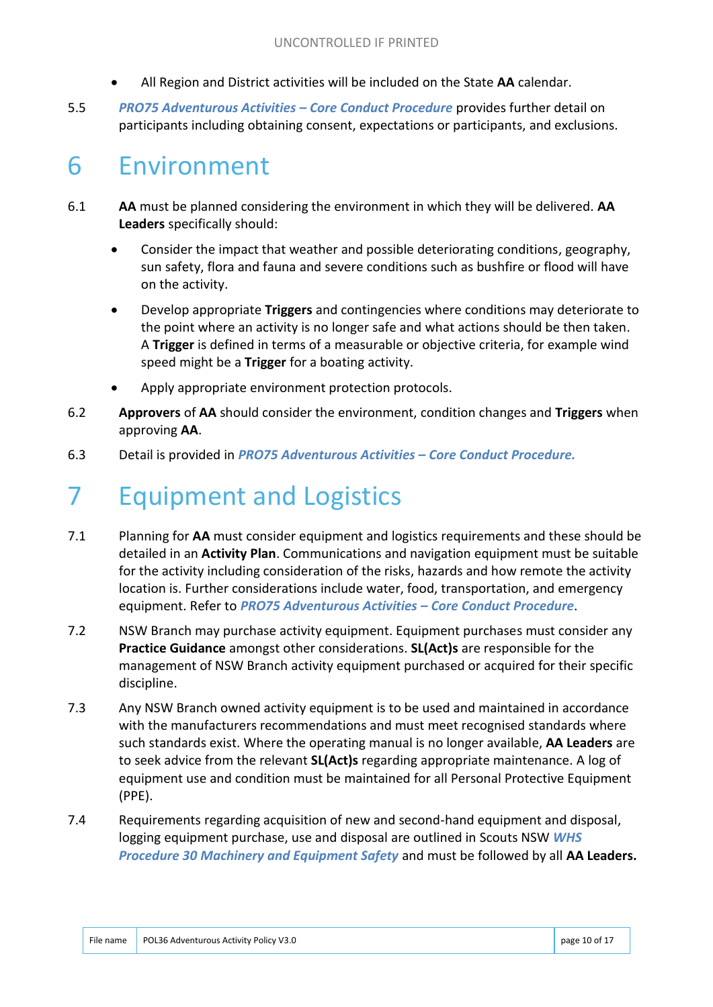- All Region and District activities will be included on the State **AA** calendar.
- 5.5 *PRO75 Adventurous Activities – Core Conduct Procedure* provides further detail on participants including obtaining consent, expectations or participants, and exclusions.

## 6 Environment

- 6.1 **AA** must be planned considering the environment in which they will be delivered. **AA Leaders** specifically should:
	- Consider the impact that weather and possible deteriorating conditions, geography, sun safety, flora and fauna and severe conditions such as bushfire or flood will have on the activity.
	- Develop appropriate **Triggers** and contingencies where conditions may deteriorate to the point where an activity is no longer safe and what actions should be then taken. A **Trigger** is defined in terms of a measurable or objective criteria, for example wind speed might be a **Trigger** for a boating activity.
	- Apply appropriate environment protection protocols.
- 6.2 **Approvers** of **AA** should consider the environment, condition changes and **Triggers** when approving **AA**.
- 6.3 Detail is provided in *PRO75 Adventurous Activities – Core Conduct Procedure.*

## 7 Equipment and Logistics

- 7.1 Planning for **AA** must consider equipment and logistics requirements and these should be detailed in an **Activity Plan**. Communications and navigation equipment must be suitable for the activity including consideration of the risks, hazards and how remote the activity location is. Further considerations include water, food, transportation, and emergency equipment. Refer to *PRO75 Adventurous Activities – Core Conduct Procedure*.
- 7.2 NSW Branch may purchase activity equipment. Equipment purchases must consider any **Practice Guidance** amongst other considerations. **SL(Act)s** are responsible for the management of NSW Branch activity equipment purchased or acquired for their specific discipline.
- 7.3 Any NSW Branch owned activity equipment is to be used and maintained in accordance with the manufacturers recommendations and must meet recognised standards where such standards exist. Where the operating manual is no longer available, **AA Leaders** are to seek advice from the relevant **SL(Act)s** regarding appropriate maintenance. A log of equipment use and condition must be maintained for all Personal Protective Equipment (PPE).
- 7.4 Requirements regarding acquisition of new and second-hand equipment and disposal, logging equipment purchase, use and disposal are outlined in Scouts NSW *WHS Procedure 30 Machinery and Equipment Safety* and must be followed by all **AA Leaders.**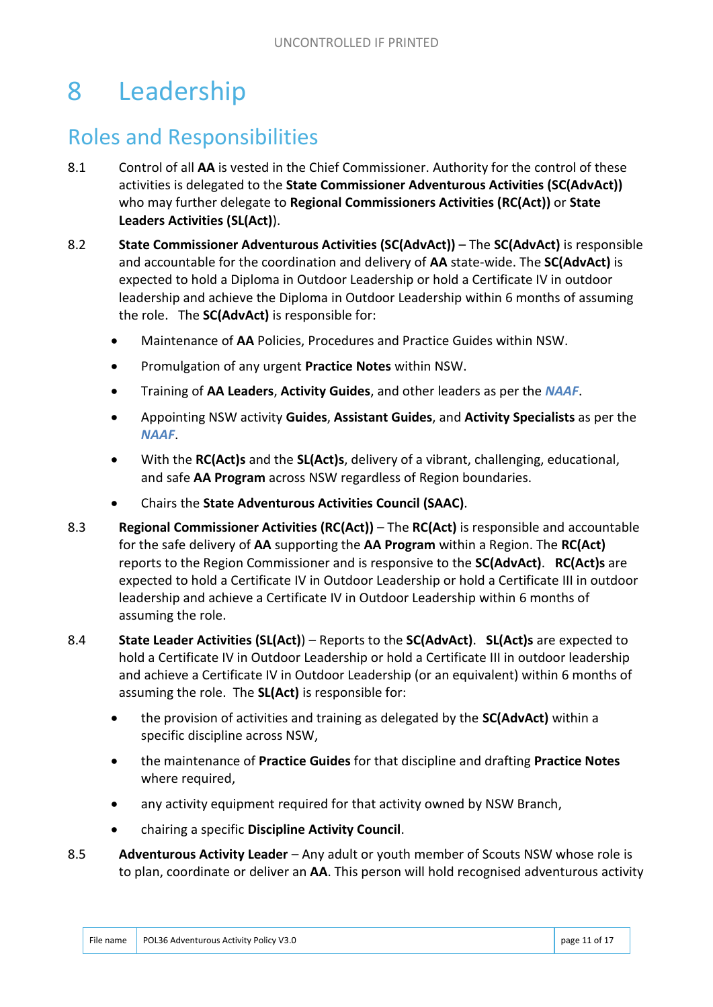## 8 Leadership

#### Roles and Responsibilities

- 8.1 Control of all **AA** is vested in the Chief Commissioner. Authority for the control of these activities is delegated to the **State Commissioner Adventurous Activities (SC(AdvAct))** who may further delegate to **Regional Commissioners Activities (RC(Act))** or **State Leaders Activities (SL(Act)**).
- 8.2 **State Commissioner Adventurous Activities (SC(AdvAct))**  The **SC(AdvAct)** is responsible and accountable for the coordination and delivery of **AA** state-wide. The **SC(AdvAct)** is expected to hold a Diploma in Outdoor Leadership or hold a Certificate IV in outdoor leadership and achieve the Diploma in Outdoor Leadership within 6 months of assuming the role. The **SC(AdvAct)** is responsible for:
	- Maintenance of **AA** Policies, Procedures and Practice Guides within NSW.
	- Promulgation of any urgent **Practice Notes** within NSW.
	- Training of **AA Leaders**, **Activity Guides**, and other leaders as per the *NAAF*.
	- Appointing NSW activity **Guides**, **Assistant Guides**, and **Activity Specialists** as per the *NAAF*.
	- With the **RC(Act)s** and the **SL(Act)s**, delivery of a vibrant, challenging, educational, and safe **AA Program** across NSW regardless of Region boundaries.
	- Chairs the **State Adventurous Activities Council (SAAC)**.
- 8.3 **Regional Commissioner Activities (RC(Act))**  The **RC(Act)** is responsible and accountable for the safe delivery of **AA** supporting the **AA Program** within a Region. The **RC(Act)** reports to the Region Commissioner and is responsive to the **SC(AdvAct)**. **RC(Act)s** are expected to hold a Certificate IV in Outdoor Leadership or hold a Certificate III in outdoor leadership and achieve a Certificate IV in Outdoor Leadership within 6 months of assuming the role.
- 8.4 **State Leader Activities (SL(Act)**) Reports to the **SC(AdvAct)**. **SL(Act)s** are expected to hold a Certificate IV in Outdoor Leadership or hold a Certificate III in outdoor leadership and achieve a Certificate IV in Outdoor Leadership (or an equivalent) within 6 months of assuming the role. The **SL(Act)** is responsible for:
	- the provision of activities and training as delegated by the **SC(AdvAct)** within a specific discipline across NSW,
	- the maintenance of **Practice Guides** for that discipline and drafting **Practice Notes** where required,
	- any activity equipment required for that activity owned by NSW Branch,
	- chairing a specific **Discipline Activity Council**.
- 8.5 **Adventurous Activity Leader**  Any adult or youth member of Scouts NSW whose role is to plan, coordinate or deliver an **AA**. This person will hold recognised adventurous activity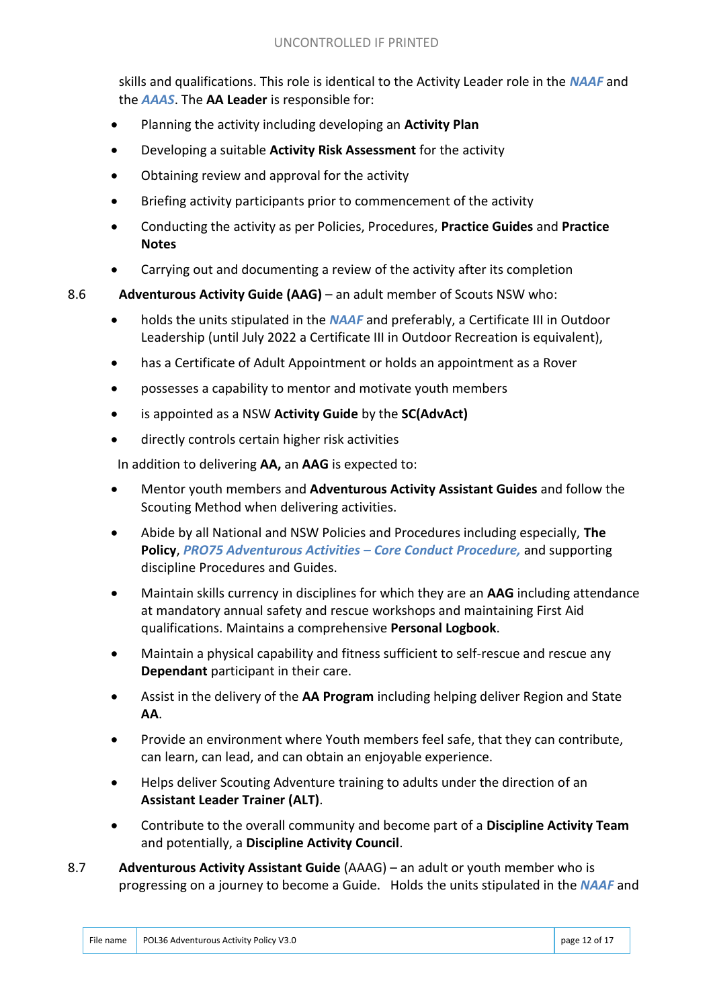skills and qualifications. This role is identical to the Activity Leader role in the *NAAF* and the *AAAS*. The **AA Leader** is responsible for:

- Planning the activity including developing an **Activity Plan**
- Developing a suitable **Activity Risk Assessment** for the activity
- Obtaining review and approval for the activity
- Briefing activity participants prior to commencement of the activity
- Conducting the activity as per Policies, Procedures, **Practice Guides** and **Practice Notes**
- Carrying out and documenting a review of the activity after its completion
- 8.6 **Adventurous Activity Guide (AAG)**  an adult member of Scouts NSW who:
	- holds the units stipulated in the *NAAF* and preferably, a Certificate III in Outdoor Leadership (until July 2022 a Certificate III in Outdoor Recreation is equivalent),
	- has a Certificate of Adult Appointment or holds an appointment as a Rover
	- possesses a capability to mentor and motivate youth members
	- is appointed as a NSW **Activity Guide** by the **SC(AdvAct)**
	- directly controls certain higher risk activities

In addition to delivering **AA,** an **AAG** is expected to:

- Mentor youth members and **Adventurous Activity Assistant Guides** and follow the Scouting Method when delivering activities.
- Abide by all National and NSW Policies and Procedures including especially, **The Policy**, *PRO75 Adventurous Activities – Core Conduct Procedure,* and supporting discipline Procedures and Guides.
- Maintain skills currency in disciplines for which they are an **AAG** including attendance at mandatory annual safety and rescue workshops and maintaining First Aid qualifications. Maintains a comprehensive **Personal Logbook**.
- Maintain a physical capability and fitness sufficient to self-rescue and rescue any **Dependant** participant in their care.
- Assist in the delivery of the **AA Program** including helping deliver Region and State **AA**.
- Provide an environment where Youth members feel safe, that they can contribute, can learn, can lead, and can obtain an enjoyable experience.
- Helps deliver Scouting Adventure training to adults under the direction of an **Assistant Leader Trainer (ALT)**.
- Contribute to the overall community and become part of a **Discipline Activity Team** and potentially, a **Discipline Activity Council**.
- 8.7 **Adventurous Activity Assistant Guide** (AAAG) an adult or youth member who is progressing on a journey to become a Guide. Holds the units stipulated in the *NAAF* and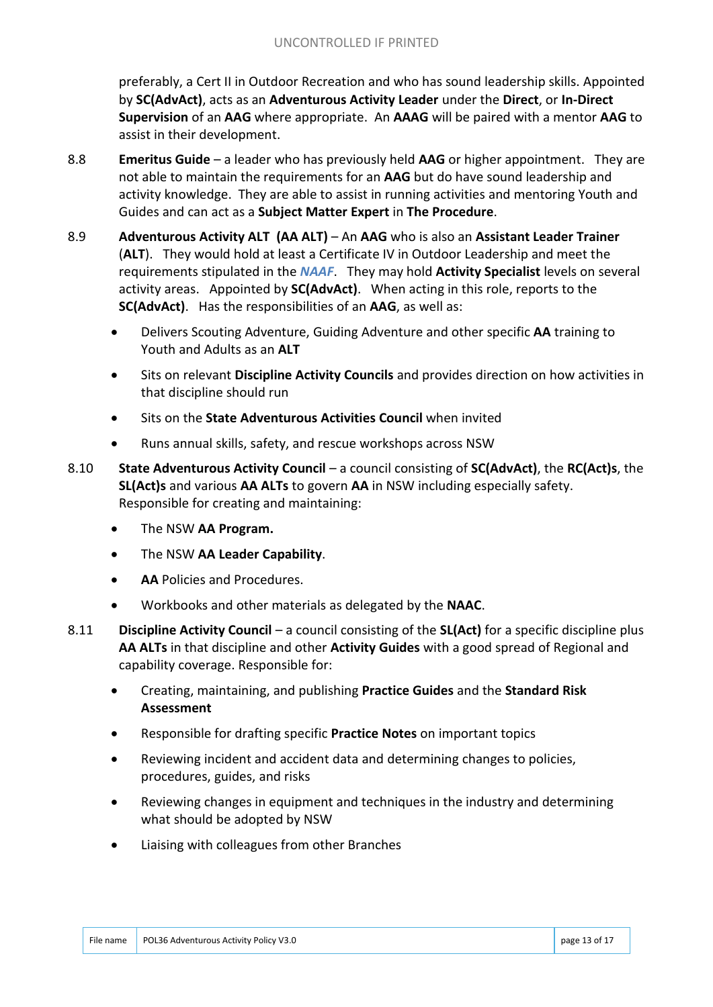preferably, a Cert II in Outdoor Recreation and who has sound leadership skills. Appointed by **SC(AdvAct)**, acts as an **Adventurous Activity Leader** under the **Direct**, or **In-Direct Supervision** of an **AAG** where appropriate. An **AAAG** will be paired with a mentor **AAG** to assist in their development.

- 8.8 **Emeritus Guide**  a leader who has previously held **AAG** or higher appointment. They are not able to maintain the requirements for an **AAG** but do have sound leadership and activity knowledge. They are able to assist in running activities and mentoring Youth and Guides and can act as a **Subject Matter Expert** in **The Procedure**.
- 8.9 **Adventurous Activity ALT (AA ALT)**  An **AAG** who is also an **Assistant Leader Trainer** (**ALT**). They would hold at least a Certificate IV in Outdoor Leadership and meet the requirements stipulated in the *NAAF*. They may hold **Activity Specialist** levels on several activity areas. Appointed by **SC(AdvAct)**. When acting in this role, reports to the **SC(AdvAct)**. Has the responsibilities of an **AAG**, as well as:
	- Delivers Scouting Adventure, Guiding Adventure and other specific **AA** training to Youth and Adults as an **ALT**
	- Sits on relevant **Discipline Activity Councils** and provides direction on how activities in that discipline should run
	- Sits on the **State Adventurous Activities Council** when invited
	- Runs annual skills, safety, and rescue workshops across NSW
- 8.10 **State Adventurous Activity Council** a council consisting of **SC(AdvAct)**, the **RC(Act)s**, the **SL(Act)s** and various **AA ALTs** to govern **AA** in NSW including especially safety. Responsible for creating and maintaining:
	- The NSW **AA Program.**
	- The NSW **AA Leader Capability**.
	- **AA** Policies and Procedures.
	- Workbooks and other materials as delegated by the **NAAC**.
- 8.11 **Discipline Activity Council** a council consisting of the **SL(Act)** for a specific discipline plus **AA ALTs** in that discipline and other **Activity Guides** with a good spread of Regional and capability coverage. Responsible for:
	- Creating, maintaining, and publishing **Practice Guides** and the **Standard Risk Assessment**
	- Responsible for drafting specific **Practice Notes** on important topics
	- Reviewing incident and accident data and determining changes to policies, procedures, guides, and risks
	- Reviewing changes in equipment and techniques in the industry and determining what should be adopted by NSW
	- Liaising with colleagues from other Branches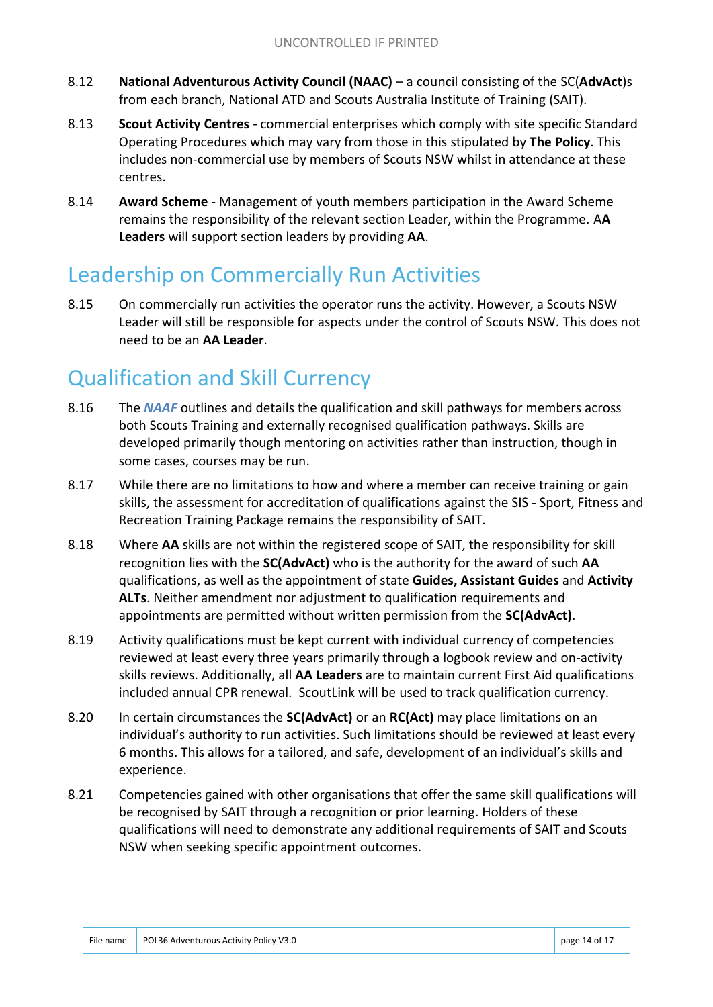- 8.12 **National Adventurous Activity Council (NAAC)** a council consisting of the SC(**AdvAct**)s from each branch, National ATD and Scouts Australia Institute of Training (SAIT).
- 8.13 **Scout Activity Centres** commercial enterprises which comply with site specific Standard Operating Procedures which may vary from those in this stipulated by **The Policy**. This includes non-commercial use by members of Scouts NSW whilst in attendance at these centres.
- 8.14 **Award Scheme** Management of youth members participation in the Award Scheme remains the responsibility of the relevant section Leader, within the Programme. A**A Leaders** will support section leaders by providing **AA**.

#### Leadership on Commercially Run Activities

8.15 On commercially run activities the operator runs the activity. However, a Scouts NSW Leader will still be responsible for aspects under the control of Scouts NSW. This does not need to be an **AA Leader**.

#### Qualification and Skill Currency

- 8.16 The *NAAF* outlines and details the qualification and skill pathways for members across both Scouts Training and externally recognised qualification pathways. Skills are developed primarily though mentoring on activities rather than instruction, though in some cases, courses may be run.
- 8.17 While there are no limitations to how and where a member can receive training or gain skills, the assessment for accreditation of qualifications against the SIS - Sport, Fitness and Recreation Training Package remains the responsibility of SAIT.
- 8.18 Where **AA** skills are not within the registered scope of SAIT, the responsibility for skill recognition lies with the **SC(AdvAct)** who is the authority for the award of such **AA** qualifications, as well as the appointment of state **Guides, Assistant Guides** and **Activity ALTs**. Neither amendment nor adjustment to qualification requirements and appointments are permitted without written permission from the **SC(AdvAct)**.
- 8.19 Activity qualifications must be kept current with individual currency of competencies reviewed at least every three years primarily through a logbook review and on-activity skills reviews. Additionally, all **AA Leaders** are to maintain current First Aid qualifications included annual CPR renewal. ScoutLink will be used to track qualification currency.
- 8.20 In certain circumstances the **SC(AdvAct)** or an **RC(Act)** may place limitations on an individual's authority to run activities. Such limitations should be reviewed at least every 6 months. This allows for a tailored, and safe, development of an individual's skills and experience.
- 8.21 Competencies gained with other organisations that offer the same skill qualifications will be recognised by SAIT through a recognition or prior learning. Holders of these qualifications will need to demonstrate any additional requirements of SAIT and Scouts NSW when seeking specific appointment outcomes.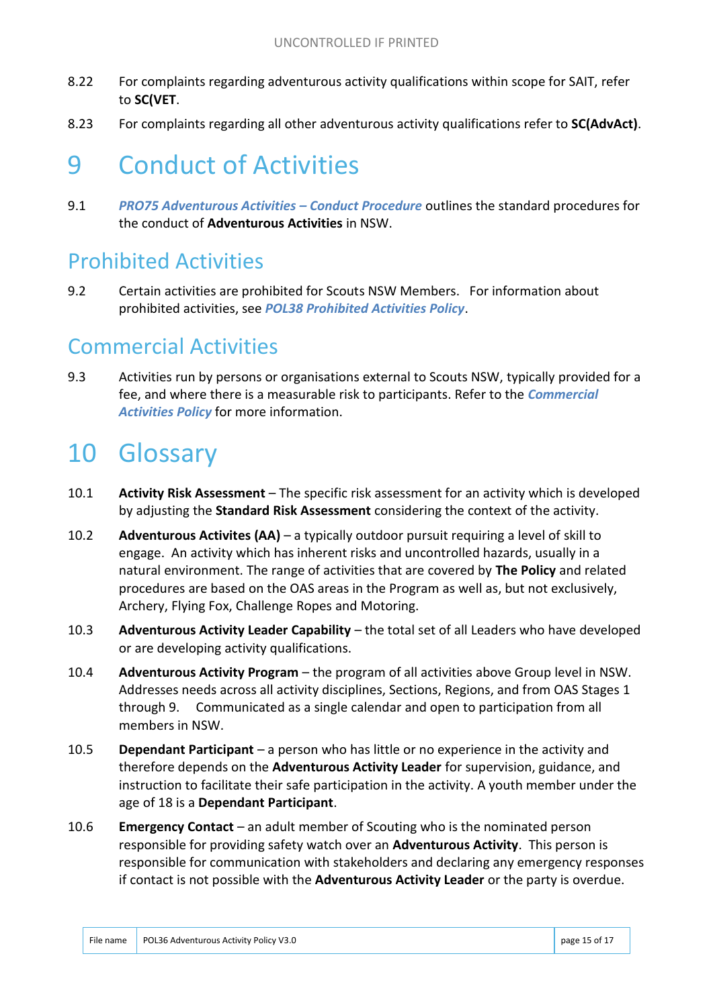- 8.22 For complaints regarding adventurous activity qualifications within scope for SAIT, refer to **SC(VET**.
- 8.23 For complaints regarding all other adventurous activity qualifications refer to **SC(AdvAct)**.

## 9 Conduct of Activities

9.1 *PRO75 Adventurous Activities – Conduct Procedure* outlines the standard procedures for the conduct of **Adventurous Activities** in NSW.

#### Prohibited Activities

9.2 Certain activities are prohibited for Scouts NSW Members. For information about prohibited activities, see *POL38 Prohibited Activities Policy*.

#### Commercial Activities

9.3 Activities run by persons or organisations external to Scouts NSW, typically provided for a fee, and where there is a measurable risk to participants. Refer to the *Commercial Activities Policy* for more information.

## 10 Glossary

- 10.1 **Activity Risk Assessment** The specific risk assessment for an activity which is developed by adjusting the **Standard Risk Assessment** considering the context of the activity.
- 10.2 **Adventurous Activites (AA)**  a typically outdoor pursuit requiring a level of skill to engage. An activity which has inherent risks and uncontrolled hazards, usually in a natural environment. The range of activities that are covered by **The Policy** and related procedures are based on the OAS areas in the Program as well as, but not exclusively, Archery, Flying Fox, Challenge Ropes and Motoring.
- 10.3 **Adventurous Activity Leader Capability**  the total set of all Leaders who have developed or are developing activity qualifications.
- 10.4 **Adventurous Activity Program**  the program of all activities above Group level in NSW. Addresses needs across all activity disciplines, Sections, Regions, and from OAS Stages 1 through 9. Communicated as a single calendar and open to participation from all members in NSW.
- 10.5 **Dependant Participant**  a person who has little or no experience in the activity and therefore depends on the **Adventurous Activity Leader** for supervision, guidance, and instruction to facilitate their safe participation in the activity. A youth member under the age of 18 is a **Dependant Participant**.
- 10.6 **Emergency Contact**  an adult member of Scouting who is the nominated person responsible for providing safety watch over an **Adventurous Activity**. This person is responsible for communication with stakeholders and declaring any emergency responses if contact is not possible with the **Adventurous Activity Leader** or the party is overdue.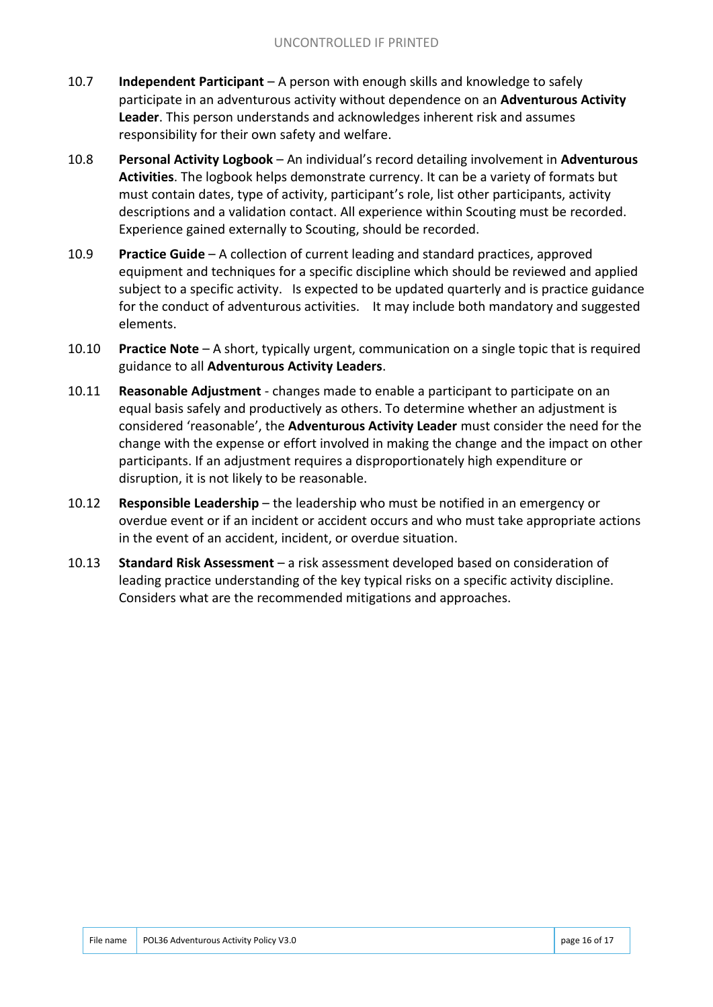- 10.7 **Independent Participant**  A person with enough skills and knowledge to safely participate in an adventurous activity without dependence on an **Adventurous Activity Leader**. This person understands and acknowledges inherent risk and assumes responsibility for their own safety and welfare.
- 10.8 **Personal Activity Logbook**  An individual's record detailing involvement in **Adventurous Activities**. The logbook helps demonstrate currency. It can be a variety of formats but must contain dates, type of activity, participant's role, list other participants, activity descriptions and a validation contact. All experience within Scouting must be recorded. Experience gained externally to Scouting, should be recorded.
- 10.9 **Practice Guide**  A collection of current leading and standard practices, approved equipment and techniques for a specific discipline which should be reviewed and applied subject to a specific activity. Is expected to be updated quarterly and is practice guidance for the conduct of adventurous activities. It may include both mandatory and suggested elements.
- 10.10 **Practice Note**  A short, typically urgent, communication on a single topic that is required guidance to all **Adventurous Activity Leaders**.
- 10.11 **Reasonable Adjustment**  changes made to enable a participant to participate on an equal basis safely and productively as others. To determine whether an adjustment is considered 'reasonable', the **Adventurous Activity Leader** must consider the need for the change with the expense or effort involved in making the change and the impact on other participants. If an adjustment requires a disproportionately high expenditure or disruption, it is not likely to be reasonable.
- 10.12 **Responsible Leadership**  the leadership who must be notified in an emergency or overdue event or if an incident or accident occurs and who must take appropriate actions in the event of an accident, incident, or overdue situation.
- 10.13 **Standard Risk Assessment**  a risk assessment developed based on consideration of leading practice understanding of the key typical risks on a specific activity discipline. Considers what are the recommended mitigations and approaches.